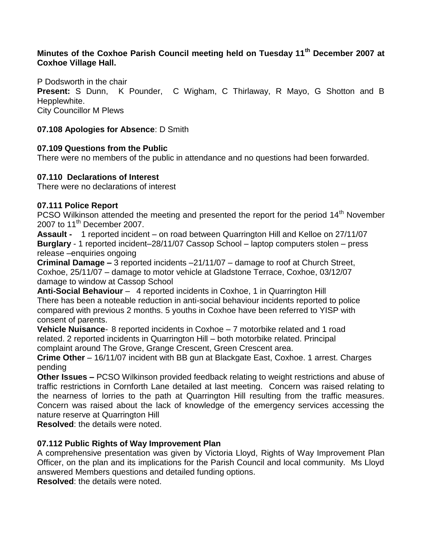# **Minutes of the Coxhoe Parish Council meeting held on Tuesday 11th December 2007 at Coxhoe Village Hall.**

P Dodsworth in the chair **Present:** S Dunn, K Pounder, C Wigham, C Thirlaway, R Mayo, G Shotton and B Hepplewhite. City Councillor M Plews

#### **07.108 Apologies for Absence**: D Smith

#### **07.109 Questions from the Public**

There were no members of the public in attendance and no questions had been forwarded.

#### **07.110 Declarations of Interest**

There were no declarations of interest

#### **07.111 Police Report**

PCSO Wilkinson attended the meeting and presented the report for the period 14<sup>th</sup> November 2007 to 11<sup>th</sup> December 2007.

**Assault -** 1 reported incident – on road between Quarrington Hill and Kelloe on 27/11/07 **Burglary** - 1 reported incident–28/11/07 Cassop School – laptop computers stolen – press release –enquiries ongoing

**Criminal Damage –** 3 reported incidents –21/11/07 – damage to roof at Church Street, Coxhoe, 25/11/07 – damage to motor vehicle at Gladstone Terrace, Coxhoe, 03/12/07 damage to window at Cassop School

**Anti-Social Behaviour** – 4 reported incidents in Coxhoe, 1 in Quarrington Hill There has been a noteable reduction in anti-social behaviour incidents reported to police compared with previous 2 months. 5 youths in Coxhoe have been referred to YISP with consent of parents.

**Vehicle Nuisance**- 8 reported incidents in Coxhoe – 7 motorbike related and 1 road related. 2 reported incidents in Quarrington Hill – both motorbike related. Principal complaint around The Grove, Grange Crescent, Green Crescent area.

**Crime Other** – 16/11/07 incident with BB gun at Blackgate East, Coxhoe. 1 arrest. Charges pending

**Other Issues –** PCSO Wilkinson provided feedback relating to weight restrictions and abuse of traffic restrictions in Cornforth Lane detailed at last meeting. Concern was raised relating to the nearness of lorries to the path at Quarrington Hill resulting from the traffic measures. Concern was raised about the lack of knowledge of the emergency services accessing the nature reserve at Quarrington Hill

**Resolved**: the details were noted.

### **07.112 Public Rights of Way Improvement Plan**

A comprehensive presentation was given by Victoria Lloyd, Rights of Way Improvement Plan Officer, on the plan and its implications for the Parish Council and local community. Ms Lloyd answered Members questions and detailed funding options.

**Resolved**: the details were noted.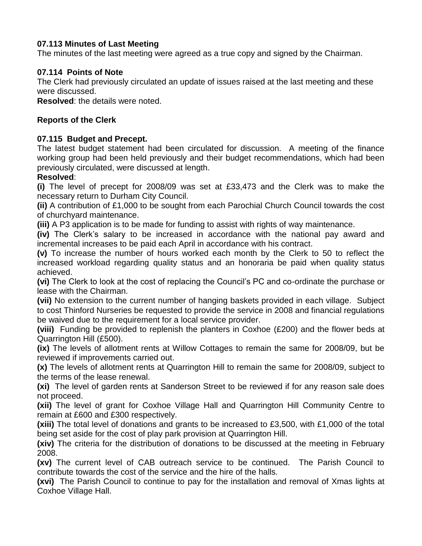# **07.113 Minutes of Last Meeting**

The minutes of the last meeting were agreed as a true copy and signed by the Chairman.

# **07.114 Points of Note**

The Clerk had previously circulated an update of issues raised at the last meeting and these were discussed.

**Resolved**: the details were noted.

# **Reports of the Clerk**

# **07.115 Budget and Precept.**

The latest budget statement had been circulated for discussion. A meeting of the finance working group had been held previously and their budget recommendations, which had been previously circulated, were discussed at length.

# **Resolved**:

**(i)** The level of precept for 2008/09 was set at £33,473 and the Clerk was to make the necessary return to Durham City Council.

**(ii)** A contribution of £1,000 to be sought from each Parochial Church Council towards the cost of churchyard maintenance.

**(iii)** A P3 application is to be made for funding to assist with rights of way maintenance.

**(iv)** The Clerk's salary to be increased in accordance with the national pay award and incremental increases to be paid each April in accordance with his contract.

**(v)** To increase the number of hours worked each month by the Clerk to 50 to reflect the increased workload regarding quality status and an honoraria be paid when quality status achieved.

**(vi)** The Clerk to look at the cost of replacing the Council's PC and co-ordinate the purchase or lease with the Chairman.

**(vii)** No extension to the current number of hanging baskets provided in each village. Subject to cost Thinford Nurseries be requested to provide the service in 2008 and financial regulations be waived due to the requirement for a local service provider.

**(viii)** Funding be provided to replenish the planters in Coxhoe (£200) and the flower beds at Quarrington Hill (£500).

**(ix)** The levels of allotment rents at Willow Cottages to remain the same for 2008/09, but be reviewed if improvements carried out.

**(x)** The levels of allotment rents at Quarrington Hill to remain the same for 2008/09, subject to the terms of the lease renewal.

**(xi)** The level of garden rents at Sanderson Street to be reviewed if for any reason sale does not proceed.

**(xii)** The level of grant for Coxhoe Village Hall and Quarrington Hill Community Centre to remain at £600 and £300 respectively.

**(xiii)** The total level of donations and grants to be increased to £3,500, with £1,000 of the total being set aside for the cost of play park provision at Quarrington Hill.

**(xiv)** The criteria for the distribution of donations to be discussed at the meeting in February 2008.

**(xv)** The current level of CAB outreach service to be continued. The Parish Council to contribute towards the cost of the service and the hire of the halls.

**(xvi)** The Parish Council to continue to pay for the installation and removal of Xmas lights at Coxhoe Village Hall.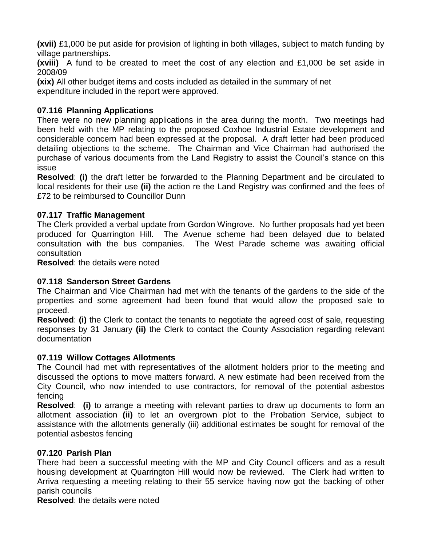**(xvii)** £1,000 be put aside for provision of lighting in both villages, subject to match funding by village partnerships.

**(xviii)** A fund to be created to meet the cost of any election and £1,000 be set aside in 2008/09

**(xix)** All other budget items and costs included as detailed in the summary of net expenditure included in the report were approved.

## **07.116 Planning Applications**

There were no new planning applications in the area during the month. Two meetings had been held with the MP relating to the proposed Coxhoe Industrial Estate development and considerable concern had been expressed at the proposal. A draft letter had been produced detailing objections to the scheme. The Chairman and Vice Chairman had authorised the purchase of various documents from the Land Registry to assist the Council's stance on this issue

**Resolved**: **(i)** the draft letter be forwarded to the Planning Department and be circulated to local residents for their use **(ii)** the action re the Land Registry was confirmed and the fees of £72 to be reimbursed to Councillor Dunn

### **07.117 Traffic Management**

The Clerk provided a verbal update from Gordon Wingrove. No further proposals had yet been produced for Quarrington Hill. The Avenue scheme had been delayed due to belated consultation with the bus companies. The West Parade scheme was awaiting official consultation

**Resolved**: the details were noted

### **07.118 Sanderson Street Gardens**

The Chairman and Vice Chairman had met with the tenants of the gardens to the side of the properties and some agreement had been found that would allow the proposed sale to proceed.

**Resolved**: **(i)** the Clerk to contact the tenants to negotiate the agreed cost of sale, requesting responses by 31 January **(ii)** the Clerk to contact the County Association regarding relevant documentation

### **07.119 Willow Cottages Allotments**

The Council had met with representatives of the allotment holders prior to the meeting and discussed the options to move matters forward. A new estimate had been received from the City Council, who now intended to use contractors, for removal of the potential asbestos fencing

**Resolved**: **(i)** to arrange a meeting with relevant parties to draw up documents to form an allotment association **(ii)** to let an overgrown plot to the Probation Service, subject to assistance with the allotments generally (iii) additional estimates be sought for removal of the potential asbestos fencing

### **07.120 Parish Plan**

There had been a successful meeting with the MP and City Council officers and as a result housing development at Quarrington Hill would now be reviewed. The Clerk had written to Arriva requesting a meeting relating to their 55 service having now got the backing of other parish councils

**Resolved**: the details were noted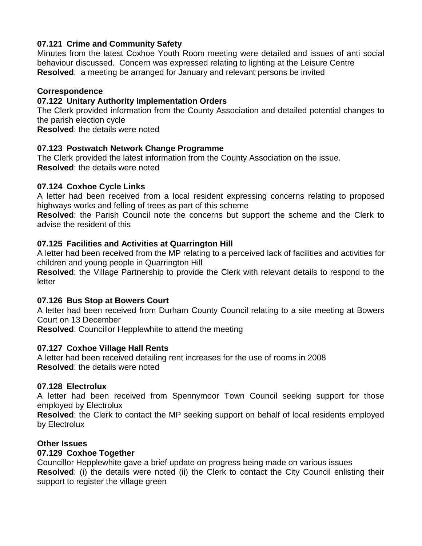## **07.121 Crime and Community Safety**

Minutes from the latest Coxhoe Youth Room meeting were detailed and issues of anti social behaviour discussed. Concern was expressed relating to lighting at the Leisure Centre **Resolved**: a meeting be arranged for January and relevant persons be invited

### **Correspondence**

### **07.122 Unitary Authority Implementation Orders**

The Clerk provided information from the County Association and detailed potential changes to the parish election cycle

**Resolved**: the details were noted

### **07.123 Postwatch Network Change Programme**

The Clerk provided the latest information from the County Association on the issue. **Resolved**: the details were noted

### **07.124 Coxhoe Cycle Links**

A letter had been received from a local resident expressing concerns relating to proposed highways works and felling of trees as part of this scheme

**Resolved**: the Parish Council note the concerns but support the scheme and the Clerk to advise the resident of this

### **07.125 Facilities and Activities at Quarrington Hill**

A letter had been received from the MP relating to a perceived lack of facilities and activities for children and young people in Quarrington Hill

**Resolved**: the Village Partnership to provide the Clerk with relevant details to respond to the letter

### **07.126 Bus Stop at Bowers Court**

A letter had been received from Durham County Council relating to a site meeting at Bowers Court on 13 December

**Resolved**: Councillor Hepplewhite to attend the meeting

### **07.127 Coxhoe Village Hall Rents**

A letter had been received detailing rent increases for the use of rooms in 2008 **Resolved**: the details were noted

### **07.128 Electrolux**

A letter had been received from Spennymoor Town Council seeking support for those employed by Electrolux

**Resolved**: the Clerk to contact the MP seeking support on behalf of local residents employed by Electrolux

### **Other Issues**

### **07.129 Coxhoe Together**

Councillor Hepplewhite gave a brief update on progress being made on various issues **Resolved**: (i) the details were noted (ii) the Clerk to contact the City Council enlisting their support to register the village green